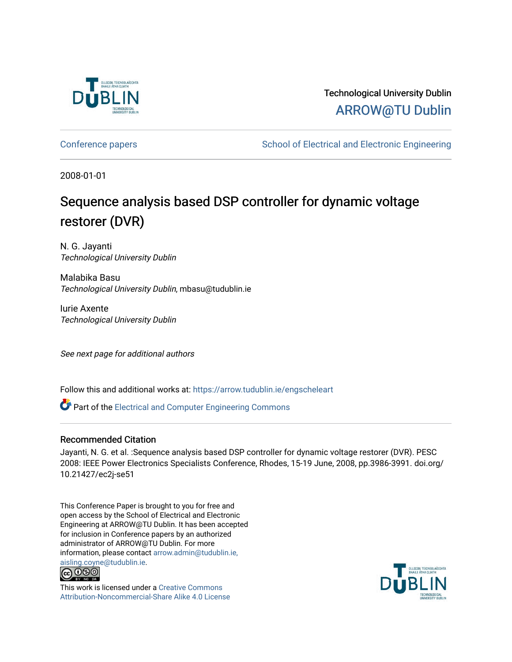

## Technological University Dublin [ARROW@TU Dublin](https://arrow.tudublin.ie/)

[Conference papers](https://arrow.tudublin.ie/engscheleart) **School of Electrical and Electronic Engineering** 

2008-01-01

# Sequence analysis based DSP controller for dynamic voltage restorer (DVR)

N. G. Jayanti Technological University Dublin

Malabika Basu Technological University Dublin, mbasu@tudublin.ie

Iurie Axente Technological University Dublin

See next page for additional authors

Follow this and additional works at: [https://arrow.tudublin.ie/engscheleart](https://arrow.tudublin.ie/engscheleart?utm_source=arrow.tudublin.ie%2Fengscheleart%2F103&utm_medium=PDF&utm_campaign=PDFCoverPages) 

Part of the [Electrical and Computer Engineering Commons](http://network.bepress.com/hgg/discipline/266?utm_source=arrow.tudublin.ie%2Fengscheleart%2F103&utm_medium=PDF&utm_campaign=PDFCoverPages) 

### Recommended Citation

Jayanti, N. G. et al. :Sequence analysis based DSP controller for dynamic voltage restorer (DVR). PESC 2008: IEEE Power Electronics Specialists Conference, Rhodes, 15-19 June, 2008, pp.3986-3991. doi.org/ 10.21427/ec2j-se51

This Conference Paper is brought to you for free and open access by the School of Electrical and Electronic Engineering at ARROW@TU Dublin. It has been accepted for inclusion in Conference papers by an authorized administrator of ARROW@TU Dublin. For more information, please contact [arrow.admin@tudublin.ie,](mailto:arrow.admin@tudublin.ie,%20aisling.coyne@tudublin.ie)  [aisling.coyne@tudublin.ie.](mailto:arrow.admin@tudublin.ie,%20aisling.coyne@tudublin.ie)<br>© 090



This work is licensed under a [Creative Commons](http://creativecommons.org/licenses/by-nc-sa/4.0/) [Attribution-Noncommercial-Share Alike 4.0 License](http://creativecommons.org/licenses/by-nc-sa/4.0/)

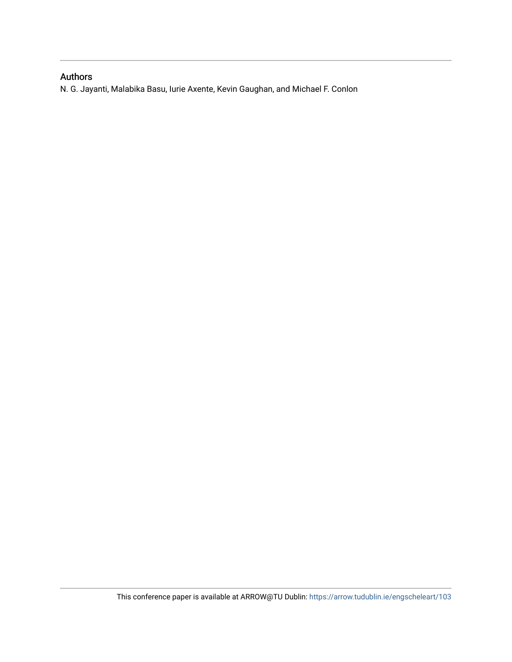### Authors

N. G. Jayanti, Malabika Basu, Iurie Axente, Kevin Gaughan, and Michael F. Conlon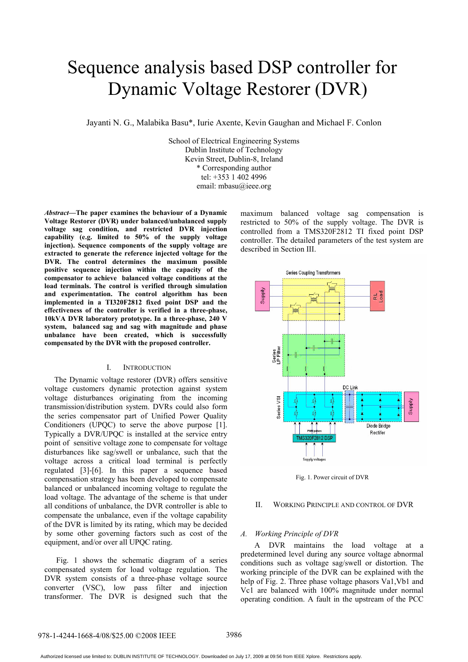# Sequence analysis based DSP controller for Dynamic Voltage Restorer (DVR)

Jayanti N. G., Malabika Basu\*, Iurie Axente, Kevin Gaughan and Michael F. Conlon

School of Electrical Engineering Systems Dublin Institute of Technology Kevin Street, Dublin-8, Ireland \* Corresponding author tel: +353 1 402 4996 email: mbasu@ieee.org

*Abstract***—The paper examines the behaviour of a Dynamic Voltage Restorer (DVR) under balanced/unbalanced supply voltage sag condition, and restricted DVR injection capability (e.g. limited to 50% of the supply voltage injection). Sequence components of the supply voltage are extracted to generate the reference injected voltage for the DVR. The control determines the maximum possible positive sequence injection within the capacity of the compensator to achieve balanced voltage conditions at the load terminals. The control is verified through simulation and experimentation. The control algorithm has been implemented in a TI320F2812 fixed point DSP and the effectiveness of the controller is verified in a three-phase, 10kVA DVR laboratory prototype. In a three-phase, 240 V system, balanced sag and sag with magnitude and phase unbalance have been created, which is successfully compensated by the DVR with the proposed controller.**

#### I. INTRODUCTION

 The Dynamic voltage restorer (DVR) offers sensitive voltage customers dynamic protection against system voltage disturbances originating from the incoming transmission/distribution system. DVRs could also form the series compensator part of Unified Power Quality Conditioners (UPQC) to serve the above purpose [1]. Typically a DVR/UPQC is installed at the service entry point of sensitive voltage zone to compensate for voltage disturbances like sag/swell or unbalance, such that the voltage across a critical load terminal is perfectly regulated [3]-[6]. In this paper a sequence based compensation strategy has been developed to compensate balanced or unbalanced incoming voltage to regulate the load voltage. The advantage of the scheme is that under all conditions of unbalance, the DVR controller is able to compensate the unbalance, even if the voltage capability of the DVR is limited by its rating, which may be decided by some other governing factors such as cost of the equipment, and/or over all UPQC rating.

 Fig. 1 shows the schematic diagram of a series compensated system for load voltage regulation. The DVR system consists of a three-phase voltage source converter (VSC), low pass filter and injection transformer. The DVR is designed such that the maximum balanced voltage sag compensation is restricted to 50% of the supply voltage. The DVR is controlled from a TMS320F2812 TI fixed point DSP controller. The detailed parameters of the test system are described in Section III.



Fig. 1. Power circuit of DVR

#### II. WORKING PRINCIPLE AND CONTROL OF DVR

#### *A. Working Principle of DVR*

 A DVR maintains the load voltage at a predetermined level during any source voltage abnormal conditions such as voltage sag/swell or distortion. The working principle of the DVR can be explained with the help of Fig. 2. Three phase voltage phasors Va1,Vb1 and Vc1 are balanced with 100% magnitude under normal operating condition. A fault in the upstream of the PCC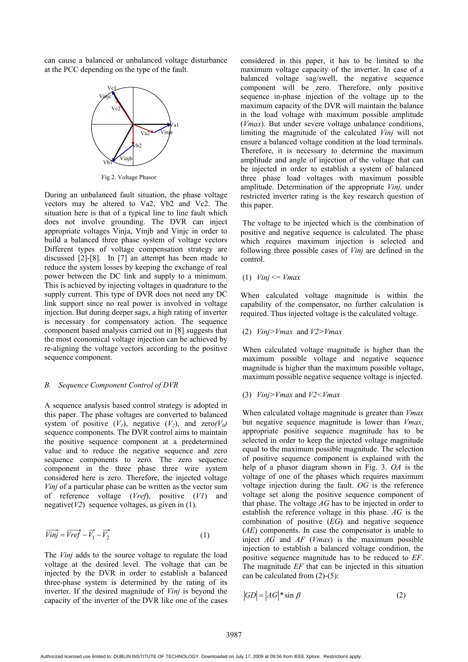can cause a balanced or unbalanced voltage disturbance at the PCC depending on the type of the fault.



Fig.2. Voltage Phasor

During an unbalanced fault situation, the phase voltage vectors may be altered to Va2, Vb2 and Vc2. The situation here is that of a typical line to line fault which does not involve grounding. The DVR can inject appropriate voltages Vinja, Vinjb and Vinjc in order to build a balanced three phase system of voltage vectors Different types of voltage compensation strategy are discussed [2]-[8]. In [7] an attempt has been made to reduce the system losses by keeping the exchange of real power between the DC link and supply to a minimum. This is achieved by injecting voltages in quadrature to the supply current. This type of DVR does not need any DC link support since no real power is involved in voltage injection. But during deeper sags, a high rating of inverter is necessary for compensatory action. The sequence component based analysis carried out in [8] suggests that the most economical voltage injection can be achieved by re-aligning the voltage vectors according to the positive sequence component.

#### *B. Sequence Component Control of DVR*

A sequence analysis based control strategy is adopted in this paper. The phase voltages are converted to balanced system of positive  $(V_1)$ , negative  $(V_2)$ , and zero $(V_0)$ sequence components. The DVR control aims to maintain the positive sequence component at a predetermined value and to reduce the negative sequence and zero sequence components to zero. The zero sequence component in the three phase three wire system considered here is zero. Therefore, the injected voltage *Vinj* of a particular phase can be written as the vector sum of reference voltage (*Vref*), positive (*V1*) and negative(*V2*) sequence voltages, as given in (1).

$$
\overrightarrow{Vinj} = \overrightarrow{Vref} - \overrightarrow{V_1} - \overrightarrow{V_2}
$$
 (1)

The *Vinj* adds to the source voltage to regulate the load voltage at the desired level. The voltage that can be injected by the DVR in order to establish a balanced three-phase system is determined by the rating of its inverter. If the desired magnitude of *Vinj* is beyond the capacity of the inverter of the DVR like one of the cases considered in this paper, it has to be limited to the maximum voltage capacity of the inverter. In case of a balanced voltage sag/swell, the negative sequence component will be zero. Therefore, only positive sequence in-phase injection of the voltage up to the maximum capacity of the DVR will maintain the balance in the load voltage with maximum possible amplitude (*Vmax*). But under severe voltage unbalance conditions, limiting the magnitude of the calculated *Vinj* will not ensure a balanced voltage condition at the load terminals. Therefore, it is necessary to determine the maximum amplitude and angle of injection of the voltage that can be injected in order to establish a system of balanced three phase load voltages with maximum possible amplitude. Determination of the appropriate *Vinj,* under restricted inverter rating is the key research question of this paper.

 The voltage to be injected which is the combination of positive and negative sequence is calculated. The phase which requires maximum injection is selected and following three possible cases of *Vinj* are defined in the control.

#### (1) *Vinj* <= *Vmax*

When calculated voltage magnitude is within the capability of the compensator, no further calculation is required. Thus injected voltage is the calculated voltage.

#### (2) *Vinj>Vmax* and *V2>Vmax*

When calculated voltage magnitude is higher than the maximum possible voltage and negative sequence magnitude is higher than the maximum possible voltage, maximum possible negative sequence voltage is injected.

#### (3) *Vinj>Vmax* and *V2<Vmax*

When calculated voltage magnitude is greater than *Vmax* but negative sequence magnitude is lower than *Vmax*, appropriate positive sequence magnitude has to be selected in order to keep the injected voltage magnitude equal to the maximum possible magnitude. The selection of positive sequence component is explained with the help of a phasor diagram shown in Fig. 3. *OA* is the voltage of one of the phases which requires maximum voltage injection during the fault. *OG* is the reference voltage set along the positive sequence component of that phase. The voltage *AG* has to be injected in order to establish the reference voltage in this phase. *AG* is the combination of positive (*EG*) and negative sequence (*AE*) components. In case the compensator is unable to inject *AG* and *AF* (*Vmax*) is the maximum possible injection to establish a balanced voltage condition, the positive sequence magnitude has to be reduced to *EF*. The magnitude *EF* that can be injected in this situation can be calculated from (2)-(5):

$$
|GD| = |AG| * \sin \beta \tag{2}
$$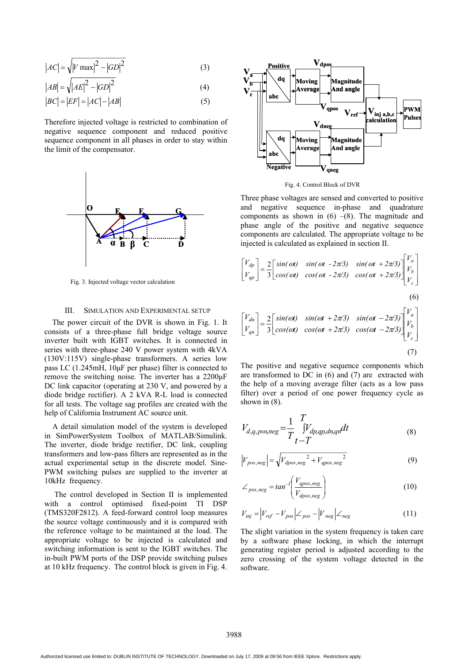$$
|AC| = \sqrt{|V \max|^2 - |GD|^2}
$$
 (3)

$$
|AB| = \sqrt{|AE|^2 - |GD|^2} \tag{4}
$$

$$
|BC| = |EF| = |AC| - |AB|
$$
\n(5)

Therefore injected voltage is restricted to combination of negative sequence component and reduced positive sequence component in all phases in order to stay within the limit of the compensator.



Fig. 3. Injected voltage vector calculation

#### III. SIMULATION AND EXPERIMENTAL SETUP

 The power circuit of the DVR is shown in Fig. 1. It consists of a three-phase full bridge voltage source inverter built with IGBT switches. It is connected in series with three-phase 240 V power system with 4kVA (130V:115V) single-phase transformers. A series low pass LC (1.245mH, 10μF per phase) filter is connected to remove the switching noise. The inverter has a 2200μF DC link capacitor (operating at 230 V, and powered by a diode bridge rectifier). A 2 kVA R-L load is connected for all tests. The voltage sag profiles are created with the help of California Instrument AC source unit.

 A detail simulation model of the system is developed in SimPowerSystem Toolbox of MATLAB/Simulink. The inverter, diode bridge rectifier, DC link, coupling transformers and low-pass filters are represented as in the actual experimental setup in the discrete model. Sine-PWM switching pulses are supplied to the inverter at 10kHz frequency.

 The control developed in Section II is implemented with a control optimised fixed-point TI DSP (TMS320F2812). A feed-forward control loop measures the source voltage continuously and it is compared with the reference voltage to be maintained at the load. The appropriate voltage to be injected is calculated and switching information is sent to the IGBT switches. The in-built PWM ports of the DSP provide switching pulses at 10 kHz frequency. The control block is given in Fig. 4.



Fig. 4. Control Block of DVR

Three phase voltages are sensed and converted to positive and negative sequence in-phase and quadrature components as shown in  $(6)$  –(8). The magnitude and phase angle of the positive and negative sequence components are calculated. The appropriate voltage to be injected is calculated as explained in section II.

$$
\begin{bmatrix} V_{dp} \\ V_{qp} \end{bmatrix} = \frac{2}{3} \begin{bmatrix} \sin(\omega t) & \sin(\omega t - 2\pi/3) & \sin(\omega t + 2\pi/3) \\ \cos(\omega t) & \cos(\omega t - 2\pi/3) & \cos(\omega t + 2\pi/3) \end{bmatrix} \begin{bmatrix} V_a \\ V_b \\ V_c \end{bmatrix}
$$
  
\n(6)  
\n
$$
\begin{bmatrix} V_{dn} \\ V_{qn} \end{bmatrix} = \frac{2}{3} \begin{bmatrix} \sin(\omega t) & \sin(\omega t + 2\pi/3) & \sin(\omega t - 2\pi/3) \\ \cos(\omega t) & \cos(\omega t + 2\pi/3) & \cos(\omega t - 2\pi/3) \end{bmatrix} \begin{bmatrix} V_a \\ V_b \\ V_c \end{bmatrix}
$$
  
\n(7)

The positive and negative sequence components which are transformed to DC in (6) and (7) are extracted with the help of a moving average filter (acts as a low pass filter) over a period of one power frequency cycle as shown in (8).

$$
V_{d,q, pos,neg} = \frac{1}{T} \int_{t-T}^{T} V_{dp,qp,dn,qn} dt
$$
\n(8)

$$
\left|V_{pos,neg}\right| = \sqrt{V_{dpos,neg}^2 + V_{qpos,neg}^2}
$$
\n(9)

$$
\angle_{pos,neg} = \tan^{-1} \left( \frac{V_{qpos,neg}}{V_{dpos,neg}} \right) \tag{10}
$$

$$
V_{inj} = \left| V_{ref} - V_{pos} \right| \angle_{pos} - \left| V_{neg} \right| \angle_{neg}
$$
 (11)

The slight variation in the system frequency is taken care by a software phase locking, in which the interrupt generating register period is adjusted according to the zero crossing of the system voltage detected in the software.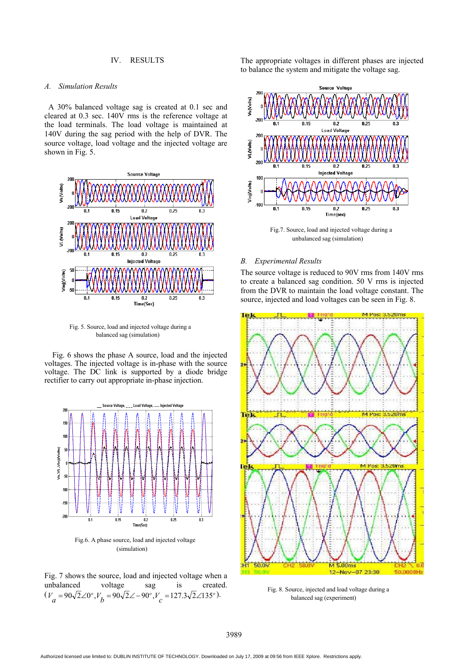#### IV. RESULTS

#### *A. Simulation Results*

 A 30% balanced voltage sag is created at 0.1 sec and cleared at 0.3 sec. 140V rms is the reference voltage at the load terminals. The load voltage is maintained at 140V during the sag period with the help of DVR. The source voltage, load voltage and the injected voltage are shown in Fig. 5.



Fig. 5. Source, load and injected voltage during a balanced sag (simulation)

Fig. 6 shows the phase A source, load and the injected voltages. The injected voltage is in-phase with the source voltage. The DC link is supported by a diode bridge rectifier to carry out appropriate in-phase injection.



Fig.6. A phase source, load and injected voltage (simulation)

Fig. 7 shows the source, load and injected voltage when a unbalanced voltage sag is created.  $(V_a = 90\sqrt{2}\angle 0^\circ, V_b = 90\sqrt{2}\angle -90^\circ, V_c = 127.3\sqrt{2}\angle 135^\circ).$ 

The appropriate voltages in different phases are injected to balance the system and mitigate the voltage sag.



Fig.7. Source, load and injected voltage during a unbalanced sag (simulation)

#### *B. Experimental Results*

The source voltage is reduced to 90V rms from 140V rms to create a balanced sag condition. 50 V rms is injected from the DVR to maintain the load voltage constant. The source, injected and load voltages can be seen in Fig. 8.



Fig. 8. Source, injected and load voltage during a balanced sag (experiment)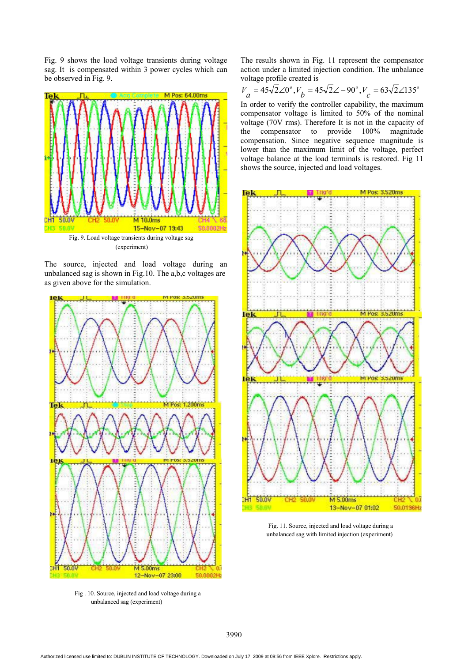Fig. 9 shows the load voltage transients during voltage sag. It is compensated within 3 power cycles which can be observed in Fig. 9.



Fig. 9. Load voltage transients during voltage sag (experiment)

The source, injected and load voltage during an unbalanced sag is shown in Fig.10. The a,b,c voltages are as given above for the simulation.



Fig . 10. Source, injected and load voltage during a unbalanced sag (experiment)

The results shown in Fig. 11 represent the compensator action under a limited injection condition. The unbalance voltage profile created is

$$
V_a = 45\sqrt{2}\angle 0^\circ, V_b = 45\sqrt{2}\angle -90^\circ, V_c = 63\sqrt{2}\angle 135^\circ
$$

In order to verify the controller capability, the maximum compensator voltage is limited to 50% of the nominal voltage (70V rms). Therefore It is not in the capacity of the compensator to provide 100% magnitude compensation. Since negative sequence magnitude is lower than the maximum limit of the voltage, perfect voltage balance at the load terminals is restored. Fig 11 shows the source, injected and load voltages.



Fig. 11. Source, injected and load voltage during a unbalanced sag with limited injection (experiment)